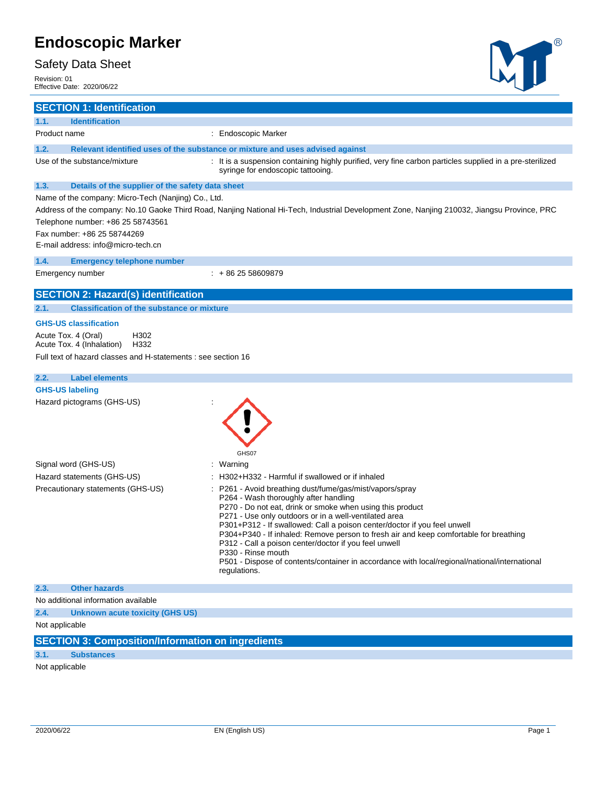### Safety Data Sheet

Revision: 01

 $\overline{a}$ 

# M

| Effective Date: 2020/06/22                                                       |                                                                                                                                |                                                                                                                                                                                                                                                                                                                                                                                                                                                                                                                                                                                              |
|----------------------------------------------------------------------------------|--------------------------------------------------------------------------------------------------------------------------------|----------------------------------------------------------------------------------------------------------------------------------------------------------------------------------------------------------------------------------------------------------------------------------------------------------------------------------------------------------------------------------------------------------------------------------------------------------------------------------------------------------------------------------------------------------------------------------------------|
| <b>SECTION 1: Identification</b>                                                 |                                                                                                                                |                                                                                                                                                                                                                                                                                                                                                                                                                                                                                                                                                                                              |
| 1.1.<br><b>Identification</b>                                                    |                                                                                                                                |                                                                                                                                                                                                                                                                                                                                                                                                                                                                                                                                                                                              |
| Product name                                                                     |                                                                                                                                | : Endoscopic Marker                                                                                                                                                                                                                                                                                                                                                                                                                                                                                                                                                                          |
| 1.2.                                                                             |                                                                                                                                | Relevant identified uses of the substance or mixture and uses advised against                                                                                                                                                                                                                                                                                                                                                                                                                                                                                                                |
| Use of the substance/mixture                                                     |                                                                                                                                | : It is a suspension containing highly purified, very fine carbon particles supplied in a pre-sterilized<br>syringe for endoscopic tattooing.                                                                                                                                                                                                                                                                                                                                                                                                                                                |
| 1.3.                                                                             | Details of the supplier of the safety data sheet                                                                               |                                                                                                                                                                                                                                                                                                                                                                                                                                                                                                                                                                                              |
| Fax number: +86 25 58744269                                                      | Name of the company: Micro-Tech (Nanjing) Co., Ltd.<br>Telephone number: +86 25 58743561<br>E-mail address: info@micro-tech.cn | Address of the company: No.10 Gaoke Third Road, Nanjing National Hi-Tech, Industrial Development Zone, Nanjing 210032, Jiangsu Province, PRC                                                                                                                                                                                                                                                                                                                                                                                                                                                 |
| 1.4.                                                                             | <b>Emergency telephone number</b>                                                                                              |                                                                                                                                                                                                                                                                                                                                                                                                                                                                                                                                                                                              |
| Emergency number                                                                 |                                                                                                                                | $: +862558609879$                                                                                                                                                                                                                                                                                                                                                                                                                                                                                                                                                                            |
|                                                                                  | <b>SECTION 2: Hazard(s) identification</b>                                                                                     |                                                                                                                                                                                                                                                                                                                                                                                                                                                                                                                                                                                              |
| 2.1.                                                                             | <b>Classification of the substance or mixture</b>                                                                              |                                                                                                                                                                                                                                                                                                                                                                                                                                                                                                                                                                                              |
| <b>GHS-US classification</b><br>Acute Tox. 4 (Oral)<br>Acute Tox. 4 (Inhalation) | H302<br>H332<br>Full text of hazard classes and H-statements : see section 16                                                  |                                                                                                                                                                                                                                                                                                                                                                                                                                                                                                                                                                                              |
| 2.2.                                                                             | <b>Label elements</b>                                                                                                          |                                                                                                                                                                                                                                                                                                                                                                                                                                                                                                                                                                                              |
| <b>GHS-US labeling</b>                                                           |                                                                                                                                |                                                                                                                                                                                                                                                                                                                                                                                                                                                                                                                                                                                              |
| Hazard pictograms (GHS-US)                                                       |                                                                                                                                | GHS07                                                                                                                                                                                                                                                                                                                                                                                                                                                                                                                                                                                        |
| Signal word (GHS-US)                                                             |                                                                                                                                | : Warning                                                                                                                                                                                                                                                                                                                                                                                                                                                                                                                                                                                    |
| Hazard statements (GHS-US)                                                       |                                                                                                                                | : H302+H332 - Harmful if swallowed or if inhaled                                                                                                                                                                                                                                                                                                                                                                                                                                                                                                                                             |
|                                                                                  | Precautionary statements (GHS-US)                                                                                              | : P261 - Avoid breathing dust/fume/gas/mist/vapors/spray<br>P264 - Wash thoroughly after handling<br>P270 - Do not eat, drink or smoke when using this product<br>P271 - Use only outdoors or in a well-ventilated area<br>P301+P312 - If swallowed: Call a poison center/doctor if you feel unwell<br>P304+P340 - If inhaled: Remove person to fresh air and keep comfortable for breathing<br>P312 - Call a poison center/doctor if you feel unwell<br>P330 - Rinse mouth<br>P501 - Dispose of contents/container in accordance with local/regional/national/international<br>regulations. |
| <b>Other hazards</b><br>2.3.                                                     |                                                                                                                                |                                                                                                                                                                                                                                                                                                                                                                                                                                                                                                                                                                                              |
| No additional information available                                              |                                                                                                                                |                                                                                                                                                                                                                                                                                                                                                                                                                                                                                                                                                                                              |
| 2.4.                                                                             | <b>Unknown acute toxicity (GHS US)</b>                                                                                         |                                                                                                                                                                                                                                                                                                                                                                                                                                                                                                                                                                                              |
| Not applicable                                                                   |                                                                                                                                |                                                                                                                                                                                                                                                                                                                                                                                                                                                                                                                                                                                              |
|                                                                                  | <b>SECTION 3: Composition/Information on ingredients</b>                                                                       |                                                                                                                                                                                                                                                                                                                                                                                                                                                                                                                                                                                              |

## **3.1. Substances**

Not applicable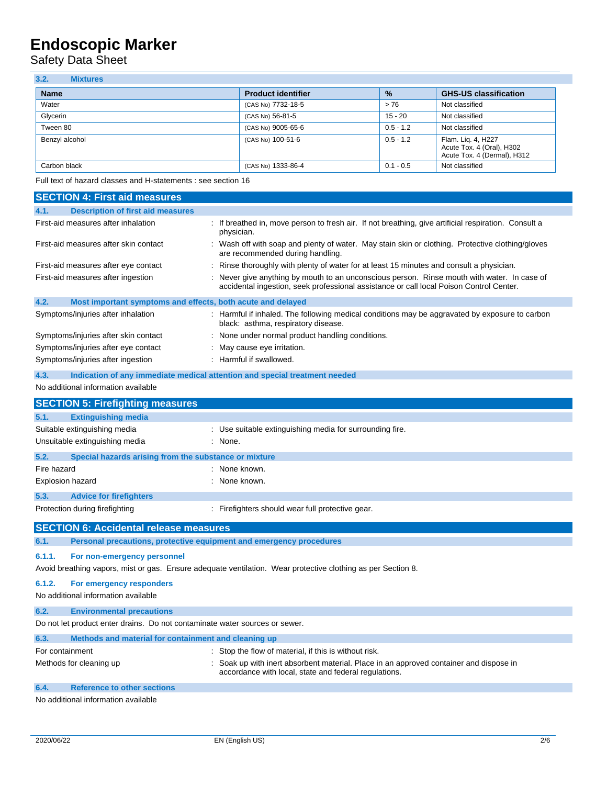Safety Data Sheet

| 3.2.<br><b>Mixtures</b> |                           |               |                                                                                |
|-------------------------|---------------------------|---------------|--------------------------------------------------------------------------------|
| <b>Name</b>             | <b>Product identifier</b> | $\frac{9}{6}$ | <b>GHS-US classification</b>                                                   |
| Water                   | (CAS No) 7732-18-5        | > 76          | Not classified                                                                 |
| Glycerin                | (CAS No) 56-81-5          | 15 - 20       | Not classified                                                                 |
| Tween 80                | (CAS No) 9005-65-6        | $0.5 - 1.2$   | Not classified                                                                 |
| Benzyl alcohol          | (CAS No) 100-51-6         | $0.5 - 1.2$   | Flam. Lig. 4, H227<br>Acute Tox. 4 (Oral), H302<br>Acute Tox. 4 (Dermal), H312 |
| Carbon black            | (CAS No) 1333-86-4        | $0.1 - 0.5$   | Not classified                                                                 |

Full text of hazard classes and H-statements : see section 16

| <b>SECTION 4: First aid measures</b>                                               |                                                                                                                                                                                        |
|------------------------------------------------------------------------------------|----------------------------------------------------------------------------------------------------------------------------------------------------------------------------------------|
| <b>Description of first aid measures</b><br>4.1.                                   |                                                                                                                                                                                        |
| First-aid measures after inhalation                                                | If breathed in, move person to fresh air. If not breathing, give artificial respiration. Consult a<br>physician.                                                                       |
| First-aid measures after skin contact                                              | : Wash off with soap and plenty of water. May stain skin or clothing. Protective clothing/gloves<br>are recommended during handling.                                                   |
| First-aid measures after eye contact                                               | Rinse thoroughly with plenty of water for at least 15 minutes and consult a physician.                                                                                                 |
| First-aid measures after ingestion                                                 | : Never give anything by mouth to an unconscious person. Rinse mouth with water. In case of<br>accidental ingestion, seek professional assistance or call local Poison Control Center. |
| 4.2.<br>Most important symptoms and effects, both acute and delayed                |                                                                                                                                                                                        |
| Symptoms/injuries after inhalation                                                 | : Harmful if inhaled. The following medical conditions may be aggravated by exposure to carbon<br>black: asthma, respiratory disease.                                                  |
| Symptoms/injuries after skin contact                                               | : None under normal product handling conditions.                                                                                                                                       |
| Symptoms/injuries after eye contact                                                | May cause eye irritation.                                                                                                                                                              |
| Symptoms/injuries after ingestion                                                  | : Harmful if swallowed.                                                                                                                                                                |
| 4.3.<br>Indication of any immediate medical attention and special treatment needed |                                                                                                                                                                                        |
| No additional information available                                                |                                                                                                                                                                                        |
| <b>SECTION 5: Firefighting measures</b>                                            |                                                                                                                                                                                        |
| 5.1.<br><b>Extinguishing media</b>                                                 |                                                                                                                                                                                        |
| Suitable extinguishing media                                                       | : Use suitable extinguishing media for surrounding fire.                                                                                                                               |
| Unsuitable extinguishing media                                                     | : None.                                                                                                                                                                                |
| Special hazards arising from the substance or mixture<br>5.2.                      |                                                                                                                                                                                        |
| Fire hazard                                                                        | : None known.                                                                                                                                                                          |
| Explosion hazard                                                                   | : None known.                                                                                                                                                                          |
| 5.3.<br><b>Advice for firefighters</b>                                             |                                                                                                                                                                                        |
| Protection during firefighting                                                     | : Firefighters should wear full protective gear.                                                                                                                                       |
|                                                                                    |                                                                                                                                                                                        |
| <b>SECTION 6: Accidental release measures</b>                                      |                                                                                                                                                                                        |
| Personal precautions, protective equipment and emergency procedures<br>6.1.        |                                                                                                                                                                                        |
| 6.1.1.<br>For non-emergency personnel                                              | Avoid breathing vapors, mist or gas. Ensure adequate ventilation. Wear protective clothing as per Section 8.                                                                           |
| 6.1.2.<br>For emergency responders<br>No additional information available          |                                                                                                                                                                                        |
| 6.2.<br><b>Environmental precautions</b>                                           |                                                                                                                                                                                        |
| Do not let product enter drains. Do not contaminate water sources or sewer.        |                                                                                                                                                                                        |
| Methods and material for containment and cleaning up<br>6.3.                       |                                                                                                                                                                                        |
| For containment                                                                    | : Stop the flow of material, if this is without risk.                                                                                                                                  |
| Methods for cleaning up                                                            | : Soak up with inert absorbent material. Place in an approved container and dispose in<br>accordance with local, state and federal regulations.                                        |
| 6.4.<br><b>Reference to other sections</b><br>No additional information available  |                                                                                                                                                                                        |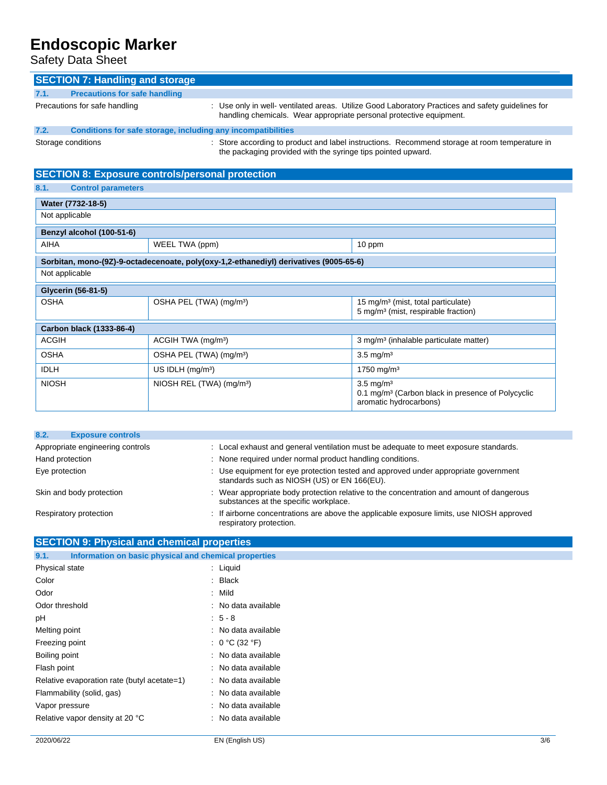Safety Data Sheet

| <b>SECTION 7: Handling and storage</b>                                                                                                                                              |                                                                                       |                                                                                                                                                                          |  |
|-------------------------------------------------------------------------------------------------------------------------------------------------------------------------------------|---------------------------------------------------------------------------------------|--------------------------------------------------------------------------------------------------------------------------------------------------------------------------|--|
| 7.1.                                                                                                                                                                                | <b>Precautions for safe handling</b>                                                  |                                                                                                                                                                          |  |
| Precautions for safe handling                                                                                                                                                       |                                                                                       | : Use only in well- ventilated areas. Utilize Good Laboratory Practices and safety guidelines for<br>handling chemicals. Wear appropriate personal protective equipment. |  |
| 7.2.                                                                                                                                                                                | Conditions for safe storage, including any incompatibilities                          |                                                                                                                                                                          |  |
| : Store according to product and label instructions. Recommend storage at room temperature in<br>Storage conditions<br>the packaging provided with the syringe tips pointed upward. |                                                                                       |                                                                                                                                                                          |  |
|                                                                                                                                                                                     | <b>SECTION 8: Exposure controls/personal protection</b>                               |                                                                                                                                                                          |  |
| 8.1.<br><b>Control parameters</b>                                                                                                                                                   |                                                                                       |                                                                                                                                                                          |  |
| Water (7732-18-5)                                                                                                                                                                   |                                                                                       |                                                                                                                                                                          |  |
| Not applicable                                                                                                                                                                      |                                                                                       |                                                                                                                                                                          |  |
| Benzyl alcohol (100-51-6)                                                                                                                                                           |                                                                                       |                                                                                                                                                                          |  |
| <b>AIHA</b>                                                                                                                                                                         | WEEL TWA (ppm)                                                                        | 10 ppm                                                                                                                                                                   |  |
|                                                                                                                                                                                     | Sorbitan, mono-(9Z)-9-octadecenoate, poly(oxy-1,2-ethanediyl) derivatives (9005-65-6) |                                                                                                                                                                          |  |
| Not applicable                                                                                                                                                                      |                                                                                       |                                                                                                                                                                          |  |
| <b>Glycerin (56-81-5)</b>                                                                                                                                                           |                                                                                       |                                                                                                                                                                          |  |
| <b>OSHA</b>                                                                                                                                                                         | OSHA PEL (TWA) (mg/m <sup>3</sup> )                                                   | 15 mg/m <sup>3</sup> (mist, total particulate)<br>5 mg/m <sup>3</sup> (mist, respirable fraction)                                                                        |  |
| Carbon black (1333-86-4)                                                                                                                                                            |                                                                                       |                                                                                                                                                                          |  |
| <b>ACGIH</b>                                                                                                                                                                        | ACGIH TWA (mg/m <sup>3</sup> )                                                        | 3 mg/m <sup>3</sup> (inhalable particulate matter)                                                                                                                       |  |
| <b>OSHA</b>                                                                                                                                                                         | OSHA PEL (TWA) (mg/m <sup>3</sup> )                                                   | $3.5 \text{ mg/m}^3$                                                                                                                                                     |  |
| <b>IDLH</b>                                                                                                                                                                         | $US$ IDLH (mg/m <sup>3</sup> )                                                        | $1750 \text{ mg/m}^3$                                                                                                                                                    |  |
| <b>NIOSH</b>                                                                                                                                                                        | NIOSH REL (TWA) (mg/m <sup>3</sup> )                                                  | $3.5 \text{ mg/m}^3$                                                                                                                                                     |  |

| 8.2.                             | <b>Exposure controls</b> |                                                                                                                                    |
|----------------------------------|--------------------------|------------------------------------------------------------------------------------------------------------------------------------|
| Appropriate engineering controls |                          | : Local exhaust and general ventilation must be adequate to meet exposure standards.                                               |
| Hand protection                  |                          | : None required under normal product handling conditions.                                                                          |
| Eye protection                   |                          | : Use equipment for eye protection tested and approved under appropriate government<br>standards such as NIOSH (US) or EN 166(EU). |
|                                  | Skin and body protection | : Wear appropriate body protection relative to the concentration and amount of dangerous<br>substances at the specific workplace.  |
|                                  | Respiratory protection   | : If airborne concentrations are above the applicable exposure limits, use NIOSH approved<br>respiratory protection.               |

0.1 mg/m<sup>3</sup> (Carbon black in presence of Polycyclic

aromatic hydrocarbons)

#### **SECTION 9: Physical and chemical properties**

| Information on basic physical and chemical properties<br>9.1. |                     |
|---------------------------------------------------------------|---------------------|
| Physical state                                                | : Liquid            |
| Color                                                         | $:$ Black           |
| Odor                                                          | : Mild              |
| Odor threshold                                                | : No data available |
| рH                                                            | $5 - 8$             |
| Melting point                                                 | : No data available |
| Freezing point                                                | : $0 °C$ (32 $°F$ ) |
| Boiling point                                                 | : No data available |
| Flash point                                                   | : No data available |
| Relative evaporation rate (butyl acetate=1)                   | : No data available |
| Flammability (solid, gas)                                     | : No data available |
| Vapor pressure                                                | : No data available |
| Relative vapor density at 20 °C                               | : No data available |
|                                                               |                     |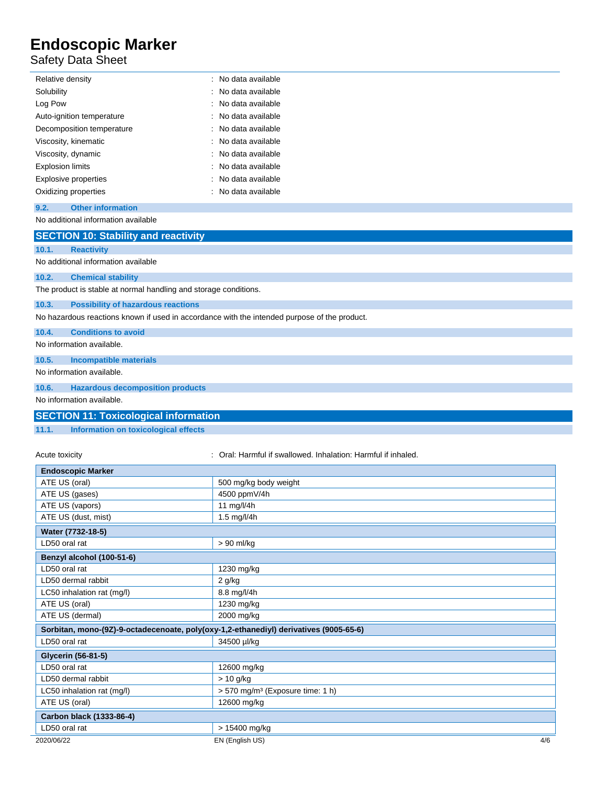#### Safety Data Sheet

| Relative density          | : No data available |
|---------------------------|---------------------|
| Solubility                | : No data available |
| Log Pow                   | : No data available |
| Auto-ignition temperature | : No data available |
| Decomposition temperature | : No data available |
| Viscosity, kinematic      | : No data available |
| Viscosity, dynamic        | : No data available |
| <b>Explosion limits</b>   | : No data available |
| Explosive properties      | : No data available |
| Oxidizing properties      | : No data available |

#### **9.2. Other information**

No additional information available

|       | <b>SECTION 10: Stability and reactivity</b>                                                  |
|-------|----------------------------------------------------------------------------------------------|
| 10.1. | <b>Reactivity</b>                                                                            |
|       | No additional information available                                                          |
| 10.2. | <b>Chemical stability</b>                                                                    |
|       | The product is stable at normal handling and storage conditions.                             |
| 10.3. | <b>Possibility of hazardous reactions</b>                                                    |
|       | No hazardous reactions known if used in accordance with the intended purpose of the product. |
| 10.4. | <b>Conditions to avoid</b>                                                                   |
|       | No information available.                                                                    |
| 10.5. | <b>Incompatible materials</b>                                                                |
|       | No information available.                                                                    |
| 10.6. | <b>Hazardous decomposition products</b>                                                      |

No information available.

| <b>SECTION 11: Toxicological information</b> |  |
|----------------------------------------------|--|
|                                              |  |

**11.1. Information on toxicological effects**

Acute toxicity **in the summand of the Caucal**: Oral: Harmful if swallowed. Inhalation: Harmful if inhaled.

| <b>Endoscopic Marker</b>                                                              |                                              |  |
|---------------------------------------------------------------------------------------|----------------------------------------------|--|
| ATE US (oral)                                                                         | 500 mg/kg body weight                        |  |
| ATE US (gases)                                                                        | 4500 ppmV/4h                                 |  |
| ATE US (vapors)                                                                       | 11 mg/l/4h                                   |  |
| ATE US (dust, mist)                                                                   | 1.5 mg/l/4h                                  |  |
| Water (7732-18-5)                                                                     |                                              |  |
| LD50 oral rat                                                                         | > 90 ml/kg                                   |  |
| Benzyl alcohol (100-51-6)                                                             |                                              |  |
| LD50 oral rat                                                                         | 1230 mg/kg                                   |  |
| LD50 dermal rabbit                                                                    | $2$ g/kg                                     |  |
| LC50 inhalation rat (mg/l)                                                            | 8.8 mg/l/4h                                  |  |
| ATE US (oral)                                                                         | 1230 mg/kg                                   |  |
| ATE US (dermal)                                                                       | 2000 mg/kg                                   |  |
| Sorbitan, mono-(9Z)-9-octadecenoate, poly(oxy-1,2-ethanediyl) derivatives (9005-65-6) |                                              |  |
| LD50 oral rat                                                                         | 34500 µl/kg                                  |  |
| <b>Glycerin (56-81-5)</b>                                                             |                                              |  |
| LD50 oral rat                                                                         | 12600 mg/kg                                  |  |
| LD50 dermal rabbit                                                                    | $> 10$ g/kg                                  |  |
| LC50 inhalation rat (mg/l)                                                            | > 570 mg/m <sup>3</sup> (Exposure time: 1 h) |  |
| ATE US (oral)                                                                         | 12600 mg/kg                                  |  |
| Carbon black (1333-86-4)                                                              |                                              |  |
| LD50 oral rat                                                                         | > 15400 mg/kg                                |  |
| 2020/06/22                                                                            | 4/6<br>EN (English US)                       |  |
|                                                                                       |                                              |  |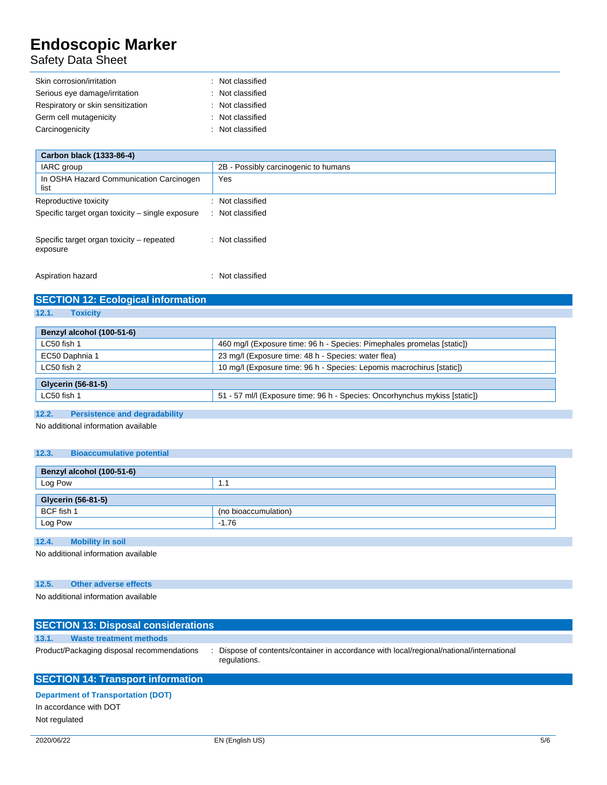#### Safety Data Sheet

| Skin corrosion/irritation         | : Not classified |
|-----------------------------------|------------------|
| Serious eye damage/irritation     | : Not classified |
| Respiratory or skin sensitization | : Not classified |
| Germ cell mutagenicity            | : Not classified |
| Carcinogenicity                   | : Not classified |

| Carbon black (1333-86-4)                              |                                      |  |  |
|-------------------------------------------------------|--------------------------------------|--|--|
| IARC group                                            | 2B - Possibly carcinogenic to humans |  |  |
| In OSHA Hazard Communication Carcinogen<br>list       | Yes                                  |  |  |
| Reproductive toxicity                                 | : Not classified                     |  |  |
| Specific target organ toxicity - single exposure      | : Not classified                     |  |  |
| Specific target organ toxicity – repeated<br>exposure | : Not classified                     |  |  |
| Aspiration hazard                                     | : Not classified                     |  |  |

# **SECTION 12: Ecological information**

| ×<br>12. |  | <b>OXICITV</b> |  |  |
|----------|--|----------------|--|--|
|          |  |                |  |  |

| Benzyl alcohol (100-51-6) |                                                                            |
|---------------------------|----------------------------------------------------------------------------|
| LC50 fish 1               | 460 mg/l (Exposure time: 96 h - Species: Pimephales promelas [static])     |
| EC50 Daphnia 1            | 23 mg/l (Exposure time: 48 h - Species: water flea)                        |
| LC50 fish 2               | 10 mg/l (Exposure time: 96 h - Species: Lepomis macrochirus [static])      |
| Glycerin (56-81-5)        |                                                                            |
| LC50 fish 1               | 51 - 57 ml/l (Exposure time: 96 h - Species: Oncorhynchus mykiss [static]) |
|                           |                                                                            |

#### **12.2. Persistence and degradability**

No additional information available

#### **12.3. Bioaccumulative potential**

| Benzyl alcohol (100-51-6) |                      |  |
|---------------------------|----------------------|--|
| Log Pow                   | 1.1                  |  |
| Glycerin (56-81-5)        |                      |  |
| BCF fish 1                | (no bioaccumulation) |  |
| Log Pow                   | $-1.76$              |  |
|                           |                      |  |

#### **12.4. Mobility in soil**

No additional information available

#### **12.5. Other adverse effects**

No additional information available

|       | <b>SECTION 13: Disposal considerations</b> |  |                                                                                                        |  |  |
|-------|--------------------------------------------|--|--------------------------------------------------------------------------------------------------------|--|--|
| 13.1. | <b>Waste treatment methods</b>             |  |                                                                                                        |  |  |
|       | Product/Packaging disposal recommendations |  | Dispose of contents/container in accordance with local/regional/national/international<br>regulations. |  |  |
|       | <b>SECTION 14: Transport information</b>   |  |                                                                                                        |  |  |
|       | <b>Denartment of Transportation (DOT)</b>  |  |                                                                                                        |  |  |

**Department of Transportation (DOT)** In accordance with DOT Not regulated